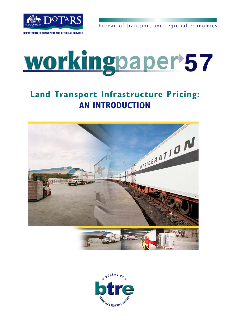

bureau of transport and regional economics

# workingpaper<sup>57</sup>

## **Land Transport Infrastructure Pricing: AN INTRODUCTION**



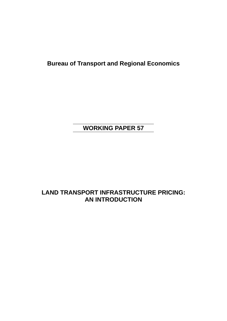**Bureau of Transport and Regional Economics** 

## **WORKING PAPER 57**

## **LAND TRANSPORT INFRASTRUCTURE PRICING: AN INTRODUCTION**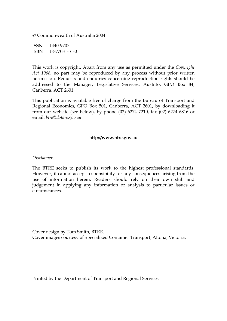© Commonwealth of Australia 2004

ISSN 1440-9707 ISBN 1-877081-31-0

This work is copyright. Apart from any use as permitted under the *Copyright Act 1968*, no part may be reproduced by any process without prior written permission. Requests and enquiries concerning reproduction rights should be addressed to the Manager, Legislative Services, AusInfo, GPO Box 84, Canberra, ACT 2601.

This publication is available free of charge from the Bureau of Transport and Regional Economics, GPO Box 501, Canberra, ACT 2601, by downloading it from our website (see below), by phone (02) 6274 7210, fax (02) 6274 6816 or email: *[btre@dotars.gov.au](mailto:btre@dotars.gov.au)*

#### **[http://www.btre.gov.au](http://www.btre.gov.au/)**

#### *Disclaimers*

The BTRE seeks to publish its work to the highest professional standards. However, it cannot accept responsibility for any consequences arising from the use of information herein. Readers should rely on their own skill and judgement in applying any information or analysis to particular issues or circumstances.

Cover design by Tom Smith, BTRE. Cover images courtesy of Specialized Container Transport, Altona, Victoria.

Printed by the Department of Transport and Regional Services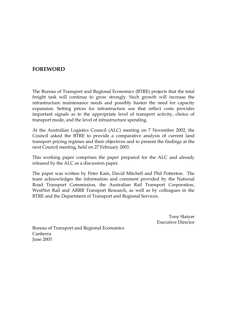#### <span id="page-3-0"></span>**FOREWORD**

The Bureau of Transport and Regional Economics (BTRE) projects that the total freight task will continue to grow strongly. Such growth will increase the infrastructure maintenance needs and possibly hasten the need for capacity expansion. Setting prices for infrastructure use that reflect costs provides important signals as to the appropriate level of transport activity, choice of transport mode, and the level of infrastructure spending.

At the Australian Logistics Council (ALC) meeting on 7 November 2002, the Council asked the BTRE to provide a comparative analysis of current land transport pricing regimes and their objectives and to present the findings at the next Council meeting, held on 27 February 2003.

This working paper comprises the paper prepared for the ALC and already released by the ALC as a discussion paper.

The paper was written by Peter Kain, David Mitchell and Phil Potterton. The team acknowledges the information and comment provided by the National Road Transport Commission, the Australian Rail Transport Corporation, WestNet Rail and ARRB Transport Research, as well as by colleagues in the BTRE and the Department of Transport and Regional Services.

> Tony Slatyer Executive Director

Bureau of Transport and Regional Economics Canberra June 2003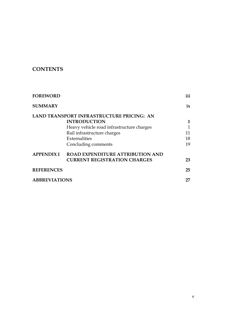## **CONTENTS**

| <b>FOREWORD</b>      |                                           | iii          |
|----------------------|-------------------------------------------|--------------|
| <b>SUMMARY</b>       |                                           | ix           |
|                      | LAND TRANSPORT INFRASTRUCTURE PRICING: AN |              |
|                      | <b>INTRODUCTION</b>                       | 1            |
|                      | Heavy vehicle road infrastructure charges | $\mathbf{1}$ |
|                      | Rail infrastructure charges               | 11           |
|                      | Externalities                             | 18           |
|                      | Concluding comments                       | 19           |
| <b>APPENDIX I</b>    | <b>ROAD EXPENDITURE ATTRIBUTION AND</b>   |              |
|                      | <b>CURRENT REGISTRATION CHARGES</b>       | 23           |
| <b>REFERENCES</b>    |                                           | 25           |
| <b>ABBREVIATIONS</b> |                                           | 27           |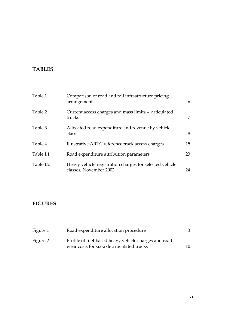## **TABLES**

| Table 1   | Comparison of road and rail infrastructure pricing<br>arrangements                | $\boldsymbol{\chi}$ |
|-----------|-----------------------------------------------------------------------------------|---------------------|
| Table 2   | Current access charges and mass limits - articulated<br>trucks                    | 7                   |
| Table 3   | Allocated road expenditure and revenue by vehicle<br>class                        | 8                   |
| Table 4   | Illustrative ARTC reference track access charges                                  | 15                  |
| Table I.1 | Road expenditure attribution parameters                                           | 23                  |
| Table I.2 | Heavy vehicle registration charges for selected vehicle<br>classes, November 2002 | 24                  |

## **FIGURES**

| Figure 1 | Road expenditure allocation procedure                                                               | 3  |
|----------|-----------------------------------------------------------------------------------------------------|----|
| Figure 2 | Profile of fuel-based heavy vehicle charges and road-<br>wear costs for six-axle articulated trucks | 10 |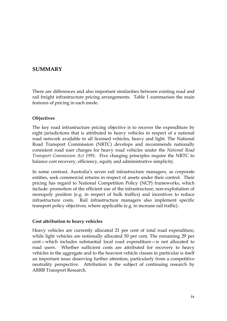### <span id="page-9-0"></span>**SUMMARY**

There are differences and also important similarities between existing road and rail freight infrastructure pricing arrangements. Table 1 summarises the main features of pricing in each mode.

#### **Objectives**

The key road infrastructure pricing objective is to recover the expenditure by eight jurisdictions that is attributed to heavy vehicles in respect of a national road network available to all licensed vehicles, heavy and light. The National Road Transport Commission (NRTC) develops and recommends nationally consistent road user charges for heavy road vehicles under the *National Road Transport Commission Act 1991*. Five charging principles require the NRTC to balance cost recovery, efficiency, equity and administrative simplicity.

In some contrast, Australia's seven rail infrastructure managers, as corporate entities, seek commercial returns in respect of assets under their control. Their pricing has regard to National Competition Policy (NCP) frameworks, which include: promotion of the efficient use of the infrastructure; non-exploitation of monopoly position (e.g. in respect of bulk traffics) and incentives to reduce infrastructure costs. Rail infrastructure managers also implement specific transport policy objectives, where applicable (e.g. to increase rail traffic).

#### **Cost attribution to heavy vehicles**

Heavy vehicles are currently allocated 21 per cent of total road expenditure, while light vehicles are notionally allocated 50 per cent. The remaining 29 per cent—which includes substantial local road expenditure—is not allocated to road users. Whether sufficient costs are attributed for recovery to heavy vehicles in the aggregate and to the heaviest vehicle classes in particular is itself an important issue deserving further attention, particularly from a competitive neutrality perspective. Attribution is the subject of continuing research by ARRB Transport Research.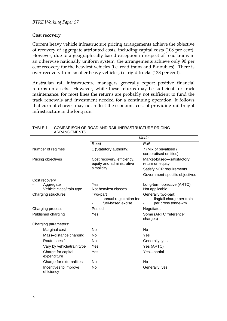#### <span id="page-10-0"></span>**Cost recovery**

Current heavy vehicle infrastructure pricing arrangements achieve the objective of recovery of aggregate attributed costs, including capital costs (108 per cent). However, due to a geographically-based exception in respect of road trains in an otherwise nationally uniform system, the arrangements achieve only 90 per cent recovery for the heaviest vehicles (i.e. road trains and B-doubles). There is over-recovery from smaller heavy vehicles, i.e. rigid trucks (138 per cent).

Australian rail infrastructure managers generally report positive financial returns on assets. However, while these returns may be sufficient for track maintenance, for most lines the returns are probably not sufficient to fund the track renewals and investment needed for a continuing operation. It follows that current charges may not reflect the economic cost of providing rail freight infrastructure in the long run.

|                                       | Mode                                                     |                                                                        |  |
|---------------------------------------|----------------------------------------------------------|------------------------------------------------------------------------|--|
|                                       | Road                                                     | Rail                                                                   |  |
| Number of regimes                     | 1 (Statutory authority)                                  | 7 (Mix of privatised /<br>corporatised entities)                       |  |
| Pricing objectives                    | Cost recovery, efficiency,<br>equity and administrative  | Market-based-satisfactory<br>return on equity                          |  |
|                                       | simplicity                                               | Satisfy NCP requirements                                               |  |
|                                       |                                                          | Government-specific objectives                                         |  |
| Cost recovery                         |                                                          |                                                                        |  |
| Aggregate<br>Vehicle class/train type | Yes<br>Not heaviest classes                              | Long-term objective (ARTC)<br>Not applicable                           |  |
| Charging structures                   | Two-part<br>annual registration fee<br>fuel-based excise | Generally two-part:<br>flagfall charge per train<br>per gross tonne-km |  |
| Charging process                      | Posted                                                   | Negotiated                                                             |  |
| Published charging                    | Yes                                                      | Some (ARTC 'reference'<br>charges)                                     |  |
| Charging parameters:                  |                                                          |                                                                        |  |
| Marginal cost                         | No                                                       | No                                                                     |  |
| Mass-distance charging                | No                                                       | Yes                                                                    |  |
| Route-specific                        | <b>No</b>                                                | Generally, yes                                                         |  |
| Vary by vehicle/train type            | Yes                                                      | Yes (ARTC)                                                             |  |
| Charge for capital<br>expenditure     | Yes                                                      | Yes-partial                                                            |  |
| Charge for externalities              | No                                                       | No                                                                     |  |
| Incentives to improve<br>efficiency   | No                                                       | Generally, yes                                                         |  |

TABLE 1 COMPARISON OF ROAD AND RAIL INFRASTRUCTURE PRICING ARRANGEMENTS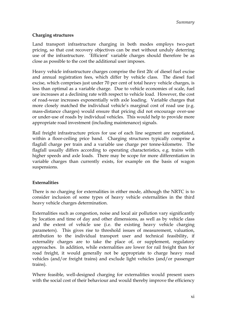#### **Charging structures**

Land transport infrastructure charging in both modes employs two-part pricing, so that cost recovery objectives can be met without unduly deterring use of the infrastructure. 'Efficient' variable charges should therefore be as close as possible to the cost the additional user imposes.

Heavy vehicle infrastructure charges comprise the first 20c of diesel fuel excise and annual registration fees, which differ by vehicle class. The diesel fuel excise, which comprises just under 70 per cent of total heavy vehicle charges, is less than optimal as a variable charge. Due to vehicle economies of scale, fuel use increases at a declining rate with respect to vehicle load. However, the cost of road-wear increases exponentially with axle loading. Variable charges that more closely matched the individual vehicle's marginal cost of road use (e.g. mass-distance charges) would ensure that pricing did not encourage over-use or under-use of roads by individual vehicles. This would help to provide more appropriate road investment (including maintenance) signals.

Rail freight infrastructure prices for use of each line segment are negotiated, within a floor-ceiling price band. Charging structures typically comprise a flagfall charge per train and a variable use charge per tonne-kilometre. The flagfall usually differs according to operating characteristics, e.g. trains with higher speeds and axle loads. There may be scope for more differentiation in variable charges than currently exists, for example on the basis of wagon suspensions.

#### **Externalities**

There is no charging for externalities in either mode, although the NRTC is to consider inclusion of some types of heavy vehicle externalities in the third heavy vehicle charges determination.

Externalities such as congestion, noise and local air pollution vary significantly by location and time of day and other dimensions, as well as by vehicle class and the extent of vehicle use (i.e. the existing heavy vehicle charging parameters). This gives rise to threshold issues of measurement, valuation, attribution to the individual transport user and technical feasibility, if externality charges are to take the place of, or supplement, regulatory approaches. In addition, while externalities are lower for rail freight than for road freight, it would generally not be appropriate to charge heavy road vehicles (and/or freight trains) and exclude light vehicles (and/or passenger trains).

Where feasible, well-designed charging for externalities would present users with the social cost of their behaviour and would thereby improve the efficiency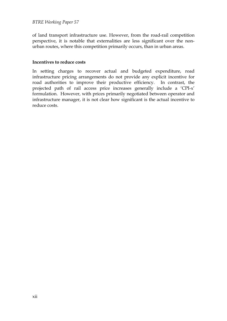of land transport infrastructure use. However, from the road-rail competition perspective, it is notable that externalities are less significant over the nonurban routes, where this competition primarily occurs, than in urban areas.

#### **Incentives to reduce costs**

In setting charges to recover actual and budgeted expenditure, road infrastructure pricing arrangements do not provide any explicit incentive for road authorities to improve their productive efficiency. In contrast, the projected path of rail access price increases generally include a 'CPI-x' formulation. However, with prices primarily negotiated between operator and infrastructure manager, it is not clear how significant is the actual incentive to reduce costs.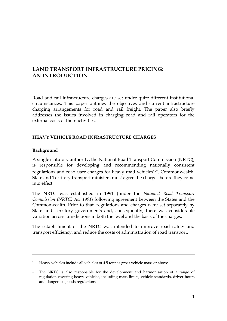## <span id="page-13-0"></span>**LAND TRANSPORT INFRASTRUCTURE PRICING: AN INTRODUCTION**

Road and rail infrastructure charges are set under quite different institutional circumstances. This paper outlines the objectives and current infrastructure charging arrangements for road and rail freight. The paper also briefly addresses the issues involved in charging road and rail operators for the external costs of their activities.

#### **HEAVY VEHICLE ROAD INFRASTRUCTURE CHARGES**

#### **Background**

A single statutory authority, the National Road Transport Commission (NRTC), is responsible for developing and recommending nationally consistent regulations and road user charges for heavy road vehicles<sup>[1](#page-13-1),[2](#page-13-2)</sup>. Commonwealth, State and Territory transport ministers must agree the charges before they come into effect.

The NRTC was established in 1991 (under the *National Road Transport Commission (NRTC) Act 1991*) following agreement between the States and the Commonwealth. Prior to that, regulations and charges were set separately by State and Territory governments and, consequently, there was considerable variation across jurisdictions in both the level and the basis of the charges.

The establishment of the NRTC was intended to improve road safety and transport efficiency, and reduce the costs of administration of road transport.

<span id="page-13-1"></span><sup>&</sup>lt;sup>1</sup> Heavy vehicles include all vehicles of 4.5 tonnes gross vehicle mass or above.

<span id="page-13-2"></span><sup>2</sup> The NRTC is also responsible for the development and harmonisation of a range of regulation covering heavy vehicles, including mass limits, vehicle standards, driver hours and dangerous goods regulations.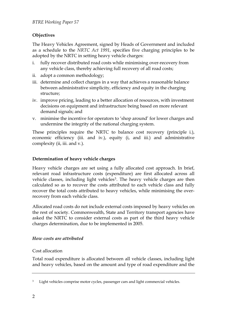#### **Objectives**

The Heavy Vehicles Agreement, signed by Heads of Government and included as a schedule to the *NRTC Act 1991*, specifies five charging principles to be adopted by the NRTC in setting heavy vehicle charges:

- i. fully recover distributed road costs while minimising over-recovery from any vehicle class, thereby achieving full recovery of all road costs;
- ii. adopt a common methodology;
- iii. determine and collect charges in a way that achieves a reasonable balance between administrative simplicity, efficiency and equity in the charging structure;
- iv. improve pricing, leading to a better allocation of resources, with investment decisions on equipment and infrastructure being based on more relevant demand signals; and
- v. minimise the incentive for operators to 'shop around' for lower charges and undermine the integrity of the national charging system.

These principles require the NRTC to balance cost recovery (principle i.), economic efficiency (iii. and iv.), equity (i, and iii.) and administrative complexity (ii, iii. and v.).

#### **Determination of heavy vehicle charges**

Heavy vehicle charges are set using a fully allocated cost approach. In brief, relevant road infrastructure costs (expenditure) are first allocated across all vehicle classes, including light vehicles<sup>[3](#page-14-0)</sup>. The heavy vehicle charges are then calculated so as to recover the costs attributed to each vehicle class and fully recover the total costs attributed to heavy vehicles, while minimising the overrecovery from each vehicle class.

Allocated road costs do not include external costs imposed by heavy vehicles on the rest of society. Commonwealth, State and Territory transport agencies have asked the NRTC to consider external costs as part of the third heavy vehicle charges determination, due to be implemented in 2005.

#### *How costs are attributed*

#### Cost allocation

Total road expenditure is allocated between all vehicle classes, including light and heavy vehicles, based on the amount and type of road expenditure and the

<span id="page-14-0"></span><sup>&</sup>lt;sup>3</sup> Light vehicles comprise motor cycles, passenger cars and light commercial vehicles.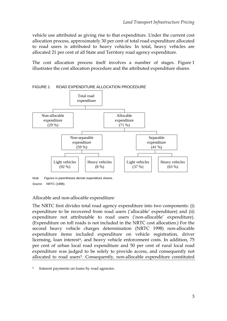<span id="page-15-0"></span>vehicle use attributed as giving rise to that expenditure. Under the current cost allocation process, approximately 30 per cent of total road expenditure allocated to road users is attributed to heavy vehicles. In total, heavy vehicles are allocated 21 per cent of all State and Territory road agency expenditure.

The cost allocation process itself involves a number of stages. Figure 1 illustrates the cost allocation procedure and the attributed expenditure shares.



FIGURE 1 ROAD EXPENDITURE ALLOCATION PROCEDURE

#### Allocable and non-allocable expenditure

<span id="page-15-2"></span>The NRTC first divides total road agency expenditure into two components: (i) expenditure to be recovered from road users ('allocable' expenditure) and (ii) expenditure not attributable to road users ('non-allocable' expenditure). (Expenditure on toll roads is not included in the NRTC cost allocation.) For the second heavy vehicle charges determination (NRTC 1998) non-allocable expenditure items included expenditure on vehicle registration, driver licensing, loan interest<sup>[4](#page-15-1)</sup>, and heavy vehicle enforcement costs. In addition, 75 per cent of urban local road expenditure and 50 per cent of rural local road expenditure was judged to be solely to provide access, and consequently not allocated to road users<sup>[5](#page-15-2)</sup>. Consequently, non-allocable expenditure constituted

*Note* Figures in parentheses denote expenditure shares. *Source* NRTC (1998).

<span id="page-15-1"></span><sup>4</sup> Interest payments on loans by road agencies.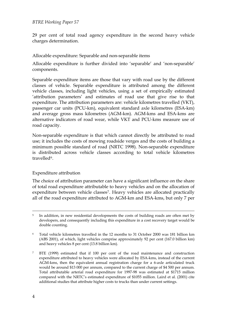29 per cent of total road agency expenditure in the second heavy vehicle charges determination.

#### Allocable expenditure: Separable and non-separable items

Allocable expenditure is further divided into 'separable' and 'non-separable' components.

Separable expenditure items are those that vary with road use by the different classes of vehicle. Separable expenditure is attributed among the different vehicle classes, including light vehicles, using a set of empirically estimated 'attribution parameters' and estimates of road use that give rise to that expenditure. The attribution parameters are: vehicle kilometres travelled (VKT), passenger car units (PCU-km), equivalent standard axle kilometres (ESA-km) and average gross mass kilometres (AGM-km). AGM-kms and ESA-kms are alternative indicators of road wear, while VKT and PCU-kms measure use of road capacity.

Non-separable expenditure is that which cannot directly be attributed to road use; it includes the costs of mowing roadside verges and the costs of building a minimum possible standard of road (NRTC 1998). Non-separable expenditure is distributed across vehicle classes according to total vehicle kilometres travelled<sup>[6](#page-16-0)</sup>.

#### Expenditure attribution

The choice of attribution parameter can have a significant influence on the share of total road expenditure attributable to heavy vehicles and on the allocation of expenditure between vehicle classes<sup>[7](#page-16-1)</sup>. Heavy vehicles are allocated practically all of the road expenditure attributed to AGM-km and ESA-kms, but only 7 per

<sup>&</sup>lt;sup>5</sup> In addition, in new residential developments the costs of building roads are often met by developers, and consequently including this expenditure in a cost recovery target would be double counting.

<span id="page-16-0"></span><sup>6</sup> Total vehicle kilometres travelled in the 12 months to 31 October 2000 was 181 billion km (ABS 2001), of which, light vehicles comprise approximately 92 per cent (167.0 billion km) and heavy vehicles 8 per cent (13.8 billion km).

<span id="page-16-1"></span><sup>7</sup> BTE (1999) estimated that if 100 per cent of the road maintenance and construction expenditure attributed to heavy vehicles were allocated by ESA-kms, instead of the current AGM-kms, then the equivalent annual registration charge for a 6-axle articulated truck would be around \$13 000 per annum, compared to the current charge of \$4 500 per annum. Total attributable arterial road expenditure for 1997-98 was estimated at \$1715 million compared with the NRTC's estimated expenditure of \$1055 million. Laird et al. (2001) cite additional studies that attribute higher costs to trucks than under current settings.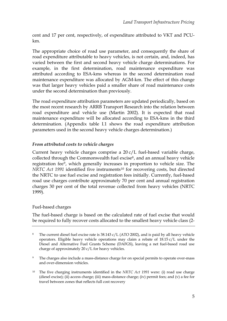cent and 17 per cent, respectively, of expenditure attributed to VKT and PCUkm.

The appropriate choice of road use parameter, and consequently the share of road expenditure attributable to heavy vehicles, is not certain, and, indeed, has varied between the first and second heavy vehicle charge determinations. For example, in the first determination, road maintenance expenditure was attributed according to ESA-kms whereas in the second determination road maintenance expenditure was allocated by AGM-km. The effect of this change was that larger heavy vehicles paid a smaller share of road maintenance costs under the second determination than previously.

The road expenditure attribution parameters are updated periodically, based on the most recent research by ARRB Transport Research into the relation between road expenditure and vehicle use (Martin 2002). It is expected that road maintenance expenditure will be allocated according to ESA-kms in the third determination. (Appendix table I.1 shows the road expenditure attribution parameters used in the second heavy vehicle charges determination.)

#### *From attributed costs to vehicle charges*

Current heavy vehicle charges comprise a 20 c/L fuel-based variable charge, collected through the Commonwealth fuel excise<sup>[8](#page-17-0)</sup>, and an annual heavy vehicle registration fee[9](#page-17-1), which generally increases in proportion to vehicle size. The *NRTC Act 1991* identified five instruments<sup>[10](#page-17-2)</sup> for recovering costs, but directed the NRTC to use fuel excise and registration fees initially. Currently, fuel-based road use charges contribute approximately 70 per cent and annual registration charges 30 per cent of the total revenue collected from heavy vehicles (NRTC 1999).

#### Fuel-based charges

The fuel-based charge is based on the calculated rate of fuel excise that would be required to fully recover costs allocated to the smallest heavy vehicle class (2-

<span id="page-17-0"></span><sup>&</sup>lt;sup>8</sup> The current diesel fuel excise rate is 38.143 c/L (ATO 2002), and is paid by all heavy vehicle operators. Eligible heavy vehicle operations may claim a rebate of  $18.15 \text{ c/L}$  under the Diesel and Alternative Fuel Grants Scheme (DAFGS), leaving a net fuel-based road use charge of approximately 20 c/L for heavy vehicles.

<span id="page-17-1"></span><sup>&</sup>lt;sup>9</sup> The charges also include a mass-distance charge for on special permits to operate over-mass and over-dimension vehicles.

<span id="page-17-2"></span><sup>10</sup> The five charging instruments identified in the *NRTC Act 1991* were: (i) road use charge (diesel excise); (ii) access charge; (iii) mass-distance charge; (iv) permit fees; and (v) a fee for travel between zones that reflects full cost recovery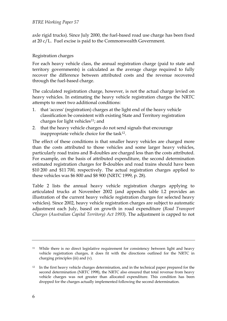axle rigid trucks). Since July 2000, the fuel-based road use charge has been fixed at 20 c/L. Fuel excise is paid to the Commonwealth Government.

#### Registration charges

For each heavy vehicle class, the annual registration charge (paid to state and territory governments) is calculated as the average charge required to fully recover the difference between attributed costs and the revenue recovered through the fuel-based charge.

The calculated registration charge, however, is not the actual charge levied on heavy vehicles. In estimating the heavy vehicle registration charges the NRTC attempts to meet two additional conditions:

- 1. that 'access' (registration) charges at the light end of the heavy vehicle classification be consistent with existing State and Territory registration charges for light vehicles<sup>[11](#page-18-0)</sup>; and
- 2. that the heavy vehicle charges do not send signals that encourage inappropriate vehicle choice for the task $12$ .

The effect of these conditions is that smaller heavy vehicles are charged more than the costs attributed to those vehicles and some larger heavy vehicles, particularly road trains and B-doubles are charged less than the costs attributed. For example, on the basis of attributed expenditure, the second determination estimated registration charges for B-doubles and road trains should have been \$10 200 and \$11 700, respectively. The actual registration charges applied to these vehicles was \$6 800 and \$8 900 (NRTC 1999, p. 28).

Table 2 lists the annual heavy vehicle registration charges applying to articulated trucks at November 2002 (and appendix table I.2 provides an illustration of the current heavy vehicle registration charges for selected heavy vehicles). Since 2002, heavy vehicle registration charges are subject to automatic adjustment each July, based on growth in road expenditure (*Road Transport Charges (Australian Capital Territory) Act 1993*). The adjustment is capped to not

<span id="page-18-0"></span><sup>&</sup>lt;sup>11</sup> While there is no direct legislative requirement for consistency between light and heavy vehicle registration charges, it does fit with the directions outlined for the NRTC in charging principles (iii) and (v).

<span id="page-18-1"></span><sup>&</sup>lt;sup>12</sup> In the first heavy vehicle charges determination, and in the technical paper prepared for the second determination (NRTC 1998), the NRTC also ensured that total revenue from heavy vehicle charges was not greater than allocated expenditure. This condition has been dropped for the charges actually implemented following the second determination.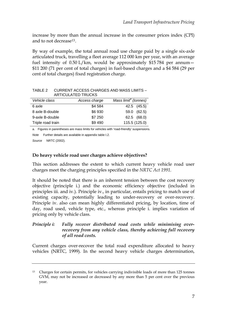<span id="page-19-0"></span>increase by more than the annual increase in the consumer prices index (CPI) and to not decrease[13.](#page-19-1)

By way of example, the total annual road use charge paid by a single six-axle articulated truck, travelling a fleet average 112 000 km per year, with an average fuel intensity of 0.50 L/km, would be approximately \$15 784 per annum— \$11 200 (71 per cent of total charges) in fuel-based charges and a \$4 584 (29 per cent of total charges) fixed registration charge.

| ARTICULATED TRUCKS |               |                                  |  |  |
|--------------------|---------------|----------------------------------|--|--|
| Vehicle class      | Access charge | Mass limit <sup>a</sup> (tonnes) |  |  |
| 6 axle             | \$4 584       | 42.5 (45.5)                      |  |  |
| 8 axle B-double    | \$6930        | 59.0 (62.5)                      |  |  |
| 9-axle B-double    | \$7 250       | 62.5 (68.0)                      |  |  |
| Triple road train  | \$9 490       | 115.5 (125.0)                    |  |  |

TABLE 2 CURRENT ACCESS CHARGES AND MASS LIMITS – ARTICULATED TRUCKS

a. Figures in parentheses are mass limits for vehicles with 'road-friendly' suspensions.

*Note* Further details are available in appendix table I.2. *Source* NRTC (2002).

#### **Do heavy vehicle road user charges achieve objectives?**

This section addresses the extent to which current heavy vehicle road user charges meet the charging principles specified in the *NRTC Act 1991*.

It should be noted that there is an inherent tension between the cost recovery objective (principle i.) and the economic efficiency objective (included in principles iii. and iv.). Principle iv., in particular, entails pricing to match use of existing capacity, potentially leading to under-recovery or over-recovery. Principle iv. also can mean highly differentiated pricing, by location, time of day, road used, vehicle type, etc., whereas principle i. implies variation of pricing only by vehicle class.

#### *Principle i: Fully recover distributed road costs while minimising overrecovery from any vehicle class, thereby achieving full recovery of all road costs.*

Current charges over-recover the total road expenditure allocated to heavy vehicles (NRTC, 1999). In the second heavy vehicle charges determination,

<span id="page-19-1"></span><sup>&</sup>lt;sup>13</sup> Charges for certain permits, for vehicles carrying indivisible loads of more than 125 tonnes GVM, may not be increased or decreased by any more than 5 per cent over the previous year.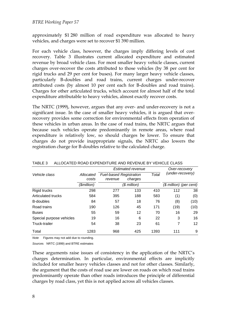<span id="page-20-0"></span>approximately \$1 280 million of road expenditure was allocated to heavy vehicles, and charges were set to recover \$1 390 million.

For each vehicle class, however, the charges imply differing levels of cost recovery. Table 3 illustrates current allocated expenditure and estimated revenue by broad vehicle class. For most smaller heavy vehicle classes, current charges over-recover the costs attributed to those vehicles (by 38 per cent for rigid trucks and 29 per cent for buses). For many larger heavy vehicle classes, particularly B-doubles and road trains, current charges under-recover attributed costs (by almost 10 per cent each for B-doubles and road trains). Charges for other articulated trucks, which account for almost half of the total expenditure attributable to heavy vehicles, almost exactly recover costs.

The NRTC (1999), however, argues that any over- and under-recovery is not a significant issue. In the case of smaller heavy vehicles, it is argued that overrecovery provides some correction for environmental effects from operation of these vehicles in urban areas. In the case of road trains, the NRTC argues that because such vehicles operate predominantly in remote areas, where road expenditure is relatively low, so should charges be lower. To ensure that charges do not provide inappropriate signals, the NRTC also lowers the registration charge for B-doubles relative to the calculated charge.

|                          |                    |                                                               | Estimated revenue |                  | Over-recovery           |      |
|--------------------------|--------------------|---------------------------------------------------------------|-------------------|------------------|-------------------------|------|
| Vehicle class            | Allocated<br>costs | Total<br><b>Fuel-based Registration</b><br>charges<br>revenue |                   | (under-recovery) |                         |      |
|                          | (\$million)        |                                                               | $$$ million)      |                  | (\$ million) (per cent) |      |
| <b>Rigid trucks</b>      | 298                | 277                                                           | 133               | 410              | 112                     | 38   |
| Articulated trucks       | 584                | 395                                                           | 188               | 583              | (1)                     | (0)  |
| <b>B-doubles</b>         | 84                 | 57                                                            | 18                | 76               | (8)                     | (10) |
| Road trains              | 190                | 126                                                           | 45                | 171              | (19)                    | (10) |
| <b>Buses</b>             | 55                 | 59                                                            | 12                | 70               | 16                      | 29   |
| Special purpose vehicles | 19                 | 16                                                            | 6                 | 22               | 3                       | 16   |
| Truck-trailer            | 54                 | 38                                                            | 23                | 61               | 7                       | 12   |
| Total                    | 1283               | 968                                                           | 425               | 1393             | 111                     | 9    |

TABLE 3 ALLOCATED ROAD EXPENDITURE AND REVENUE BY VEHICLE CLASS

*Note* Figures may not add due to rounding.

*Source*s NRTC (1999) and BTRE estimates

These arguments raise issues of consistency in the application of the NRTC's charges determination. In particular, environmental effects are implicitly included for smaller heavy vehicles classes and not for other classes. Similarly, the argument that the costs of road use are lower on roads on which road trains predominantly operate than other roads introduces the principle of differential charges by road class, yet this is not applied across all vehicles classes.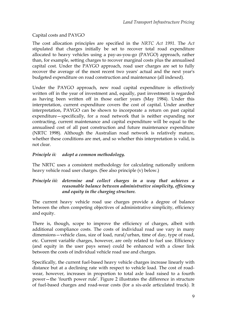#### Capital costs and PAYGO

The cost allocation principles are specified in the *NRTC Act 1991*. The *Act* stipulated that charges initially be set to recover total road expenditure allocated to heavy vehicles using a pay-as-you-go (PAYGO) approach, rather than, for example, setting charges to recover marginal costs plus the annualised capital cost. Under the PAYGO approach, road user charges are set to fully recover the average of the most recent two years' actual and the next year's budgeted expenditure on road construction and maintenance (all indexed).

Under the PAYGO approach, new road capital expenditure is effectively written off in the year of investment and, equally, past investment is regarded as having been written off in those earlier years (May 1984). Under this interpretation, current expenditure covers the cost of capital. Under another interpretation, PAYGO can be shown to incorporate a return on past capital expenditure—specifically, for a road network that is neither expanding nor contracting, current maintenance and capital expenditure will be equal to the annualised cost of all past construction and future maintenance expenditure (NRTC 1998). Although the Australian road network is relatively mature, whether these conditions are met, and so whether this interpretation is valid, is not clear.

#### *Principle ii: adopt a common methodology.*

The NRTC uses a consistent methodology for calculating nationally uniform heavy vehicle road user charges. (See also principle (v) below.)

#### *Principle iii: determine and collect charges in a way that achieves a reasonable balance between administrative simplicity, efficiency and equity in the charging structure.*

The current heavy vehicle road use charges provide a degree of balance between the often competing objectives of administrative simplicity, efficiency and equity.

There is, though, scope to improve the efficiency of charges, albeit with additional compliance costs. The costs of individual road use vary in many dimensions—vehicle class, size of load, rural/urban, time of day, type of road, etc. Current variable charges, however, are only related to fuel use. Efficiency (and equity in the user pays sense) could be enhanced with a closer link between the costs of individual vehicle road use and charges.

Specifically, the current fuel-based heavy vehicle charges increase linearly with distance but at a declining rate with respect to vehicle load. The cost of roadwear, however, increases in proportion to total axle load raised to a fourth power—the 'fourth power rule'. Figure 2 illustrates the difference in structure of fuel-based charges and road-wear costs (for a six-axle articulated truck). It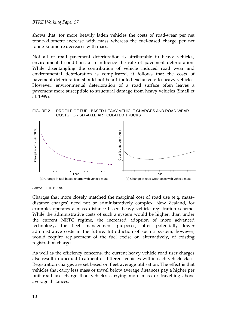<span id="page-22-0"></span>shows that, for more heavily laden vehicles the costs of road-wear per net tonne-kilometre increase with mass whereas the fuel-based charge per net tonne-kilometre decreases with mass.

Not all of road pavement deterioration is attributable to heavy vehicles; environmental conditions also influence the rate of pavement deterioration. While disentangling the contribution of vehicle induced road wear and environmental deterioration is complicated, it follows that the costs of pavement deterioration should not be attributed exclusively to heavy vehicles. However, environmental deterioration of a road surface often leaves a pavement more susceptible to structural damage from heavy vehicles (Small et al. 1989).

FIGURE 2 PROFILE OF FUEL-BASED HEAVY VEHICLE CHARGES AND ROAD-WEAR COSTS FOR SIX-AXLE ARTICULATED TRUCKS



*Source* BTE (1999).

Charges that more closely matched the marginal cost of road use (e.g. mass– distance charges) need not be administratively complex. New Zealand, for example, operates a mass–distance based heavy vehicle registration scheme. While the administrative costs of such a system would be higher, than under the current NRTC regime, the increased adoption of more advanced technology, for fleet management purposes, offer potentially lower administrative costs in the future. Introduction of such a system, however, would require replacement of the fuel excise or, alternatively, of existing registration charges.

As well as the efficiency concerns, the current heavy vehicle road user charges also result in unequal treatment of different vehicles within each vehicle class. Registration charges are set based on fleet average utilisation. The effect is that vehicles that carry less mass or travel below average distances pay a higher per unit road use charge than vehicles carrying more mass or travelling above average distances.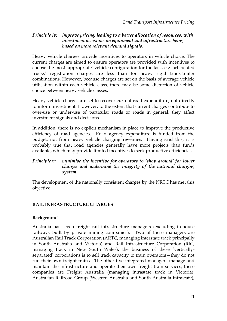#### <span id="page-23-0"></span>*Principle iv: improve pricing, leading to a better allocation of resources, with investment decisions on equipment and infrastructure being based on more relevant demand signals.*

Heavy vehicle charges provide incentives to operators in vehicle choice. The current charges are aimed to ensure operators are provided with incentives to choose the most 'appropriate' vehicle configuration for the task, e.g. articulated trucks' registration charges are less than for heavy rigid truck-trailer combinations. However, because charges are set on the basis of average vehicle utilisation within each vehicle class, there may be some distortion of vehicle choice between heavy vehicle classes.

Heavy vehicle charges are set to recover current road expenditure, not directly to inform investment. However, to the extent that current charges contribute to over-use or under-use of particular roads or roads in general, they affect investment signals and decisions.

In addition, there is no explicit mechanism in place to improve the productive efficiency of road agencies. Road agency expenditure is funded from the budget, not from heavy vehicle charging revenues. Having said this, it is probably true that road agencies generally have more projects than funds available, which may provide limited incentives to seek productive efficiencies.

#### *Principle v: minimise the incentive for operators to 'shop around' for lower charges and undermine the integrity of the national charging system.*

The development of the nationally consistent charges by the NRTC has met this objective.

#### **RAIL INFRASTRUCTURE CHARGES**

#### **Background**

Australia has seven freight rail infrastructure managers (excluding in-house railways built by private mining companies). Two of these managers are Australian Rail Track Corporation (ARTC, managing interstate track principally in South Australia and Victoria) and Rail Infrastructure Corporation (RIC, managing track in New South Wales); the business of these 'verticallyseparated' corporations is to sell track capacity to train operators—they do not run their own freight trains. The other five integrated managers manage and maintain the infrastructure and operate their own freight train services; these companies are Freight Australia (managing intrastate track in Victoria), Australian Railroad Group (Western Australia and South Australia intrastate),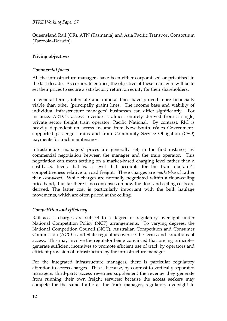Queensland Rail (QR), ATN (Tasmania) and Asia Pacific Transport Consortium (Tarcoola–Darwin).

#### **Pricing objectives**

#### *Commercial focus*

All the infrastructure managers have been either corporatised or privatised in the last decade. As corporate entities, the objective of these managers will be to set their prices to secure a satisfactory return on equity for their shareholders.

In general terms, interstate and mineral lines have proved more financially viable than other (principally grain) lines. The income base and viability of individual infrastructure managers' businesses can differ significantly. For instance, ARTC's access revenue is almost entirely derived from a single, private sector freight train operator, Pacific National. By contrast, RIC is heavily dependent on access income from New South Wales Governmentsupported passenger trains and from Community Service Obligation (CSO) payments for track maintenance.

Infrastructure managers' prices are generally set, in the first instance, by commercial negotiation between the manager and the train operator. This negotiation can mean settling on a market-based charging level rather than a cost-based level; that is, a level that accounts for the train operator's competitiveness relative to road freight. These charges are *market-based* rather than *cost-based*. While charges are normally negotiated within a floor–ceiling price band, thus far there is no consensus on how the floor and ceiling costs are derived. The latter cost is particularly important with the bulk haulage movements, which are often priced at the ceiling.

#### *Competition and efficiency*

Rail access charges are subject to a degree of regulatory oversight under National Competition Policy (NCP) arrangements. To varying degrees, the National Competition Council (NCC), Australian Competition and Consumer Commission (ACCC) and State regulators oversee the terms and conditions of access. This may involve the regulator being convinced that pricing principles generate sufficient incentives to promote efficient use of track by operators and efficient provision of infrastructure by the infrastructure manager.

For the integrated infrastructure managers, there is particular regulatory attention to access charges. This is because, by contrast to vertically separated managers, third-party access revenues supplement the revenue they generate from running their own freight services: because the access seekers may compete for the same traffic as the track manager, regulatory oversight to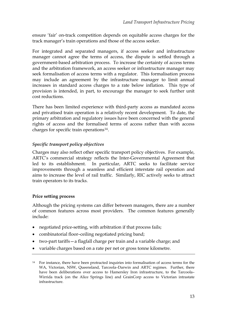ensure 'fair' on-track competition depends on equitable access charges for the track manager's train operations and those of the access seeker.

For integrated and separated managers, if access seeker and infrastructure manager cannot agree the terms of access, the dispute is settled through a government-based arbitration process. To increase the certainty of access terms and the arbitration framework, an access seeker or infrastructure manager may seek formalisation of access terms with a regulator. This formalisation process may include an agreement by the infrastructure manager to limit annual increases in standard access charges to a rate below inflation. This type of provision is intended, in part, to encourage the manager to seek further unit cost reductions.

There has been limited experience with third-party access as mandated access and privatised train operation is a relatively recent development. To date, the primary arbitration and regulatory issues have been concerned with the general rights of access and the formalised terms of access rather than with access charges for specific train operations[14](#page-25-0).

#### *Specific transport policy objectives*

Charges may also reflect other specific transport policy objectives. For example, ARTC's commercial strategy reflects the Inter-Governmental Agreement that led to its establishment. In particular, ARTC seeks to facilitate service improvements through a seamless and efficient interstate rail operation and aims to increase the level of rail traffic. Similarly, RIC actively seeks to attract train operators to its tracks.

#### **Price setting process**

Although the pricing systems can differ between managers, there are a number of common features across most providers. The common features generally include:

- negotiated price-setting, with arbitration if that process fails;
- combinatorial floor–ceiling negotiated pricing band;
- two-part tariffs—a flagfall charge per train and a variable charge; and
- variable charges based on a rate per net or gross tonne kilometre.

<span id="page-25-0"></span><sup>&</sup>lt;sup>14</sup> For instance, there have been protracted inquiries into formalisation of access terms for the WA, Victorian, NSW, Queensland, Tarcoola–Darwin and ARTC regimes. Further, there have been deliberations over access to Hamersley Iron infrastructure, to the Tarcoola– Wirrida track (on the Alice Springs line) and GrainCorp access to Victorian intrastate infrastructure.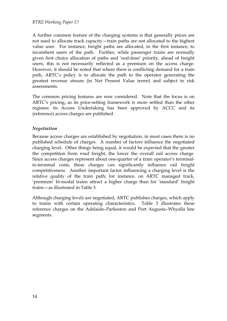A further common feature of the charging systems is that generally prices are not used to allocate track capacity—train paths are not allocated to the highest value user. For instance, freight paths are allocated, in the first instance, to incumbent users of the path. Further, while passenger trains are normally given first choice allocation of paths and 'real-time' priority, ahead of freight users, this is not necessarily reflected as a premium on the access charge. However, it should be noted that where there is conflicting demand for a train path, ARTC's policy is to allocate the path to the operator generating the greatest revenue stream (in Net Present Value terms) and subject to risk assessments.

The common pricing features are now considered. Note that the focus is on ARTC's pricing, as its price-setting framework is more settled than the other regimes: its Access Undertaking has been approved by ACCC and its (reference) access charges are published.

#### *Negotiation*

Because access charges are established by negotiation, in most cases there is no published schedule of charges. A number of factors influence the negotiated charging level. Other things being equal, it would be expected that the greater the competition from road freight, the lower the overall rail access charge. Since access charges represent about one-quarter of a train operator's terminalto-terminal costs, these charges can significantly influence rail freight competitiveness. Another important factor influencing a charging level is the relative quality of the train path; for instance, on ARTC managed track, 'premium' bi-modal trains attract a higher charge than for 'standard' freight trains—as illustrated in Table 3.

Although charging levels are negotiated, ARTC publishes charges, which apply to trains with certain operating characteristics. Table 3 illustrates these reference charges on the Adelaide–Parkeston and Port Augusta–Whyalla line segments.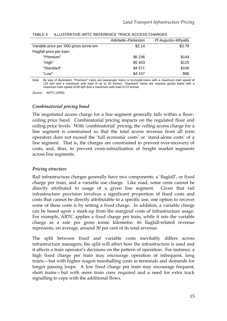|                                        | Adelaide–Parkeston | Pt Augusta-Whyalla |
|----------------------------------------|--------------------|--------------------|
| Variable price per '000 gross tonne km | \$2.14             | \$3.79             |
| Flagfall price per train:              |                    |                    |
| "Premium"                              | \$6 236            | \$144              |
| "High"                                 | \$5 403            | \$125              |
| "Standard"                             | \$4 571            | \$106              |
| "Low"                                  | \$4 157            | \$96               |

<span id="page-27-0"></span>TABLE 4 ILLUSTRATIVE ARTC REFERENCE TRACK ACCESS CHARGES

*Note* By way of illustration, "Premium" trains are passenger trains or bi-modal trains with a maximum train speed of 115 kph and a maximum axle load of up to 20 tonnes; "Standard" trains are express goods trains with a maximum train speed of 80 kph and a maximum axle load of 23 tonnes.

*Source* ARTC (2003).

#### *Combinatorial pricing band*

The negotiated access charge for a line segment generally falls within a floor– ceiling price band. Combinatorial pricing impacts on the regulated floor and ceiling price levels. With 'combinatorial' pricing, the ceiling access charge for a line segment is constrained so that the total access revenue from all train operators does not exceed the 'full economic costs' or 'stand-alone costs' of a line segment. That is, the charges are constrained to prevent over-recovery of costs, and, thus, to prevent cross-subsidisation of freight market segments across line segments.

#### *Pricing structure*

Rail infrastructure charges generally have two components: a 'flagfall', or fixed charge per train, and a variable use charge. Like road, some costs cannot be directly attributed to usage of a given line segment. Given that rail infrastructure provision involves a significant proportion of fixed costs and costs that cannot be directly attributable to a specific use, one option to recover some of these costs is by setting a fixed charge. In addition, a variable charge can be based upon a mark-up from the marginal costs of infrastructure usage. For example, ARTC applies a fixed charge per train, while it sets the variable charge as a rate per gross tonne kilometre: its flagfall-related revenue represents, on average, around 30 per cent of its total revenue.

The split between fixed and variable costs inevitably differs across infrastructure managers; the split will affect how the infrastructure is used and it affects a train operator's decisions on the pattern of operation. For instance, a high fixed charge per train may encourage operation of infrequent, long trains—but with higher wagon marshalling costs in terminals and demands for longer passing loops. A low fixed charge per train may encourage frequent, short trains—but with more train crew required and a need for extra track signalling to cope with the additional flows.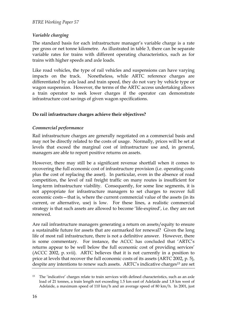#### *Variable charging*

The standard basis for each infrastructure manager's variable charge is a rate per gross or net tonne kilometre. As illustrated in table 3, there can be separate variable rates for trains with different operating characteristics, such as for trains with higher speeds and axle loads.

Like road vehicles, the type of rail vehicles and suspensions can have varying impacts on the track. Nonetheless, while ARTC reference charges are differentiated by axle load and train speed, they do not vary by vehicle type or wagon suspension. However, the terms of the ARTC access undertaking allows a train operator to seek lower charges if the operator can demonstrate infrastructure cost savings of given wagon specifications.

#### **Do rail infrastructure charges achieve their objectives?**

#### *Commercial performance*

Rail infrastructure charges are generally negotiated on a commercial basis and may not be directly related to the costs of usage. Normally, prices will be set at levels that exceed the marginal cost of infrastructure use and, in general, managers are able to report positive returns on assets.

However, there may still be a significant revenue shortfall when it comes to recovering the full economic cost of infrastructure provision (i.e. operating costs plus the cost of replacing the asset). In particular, even in the absence of road competition, the level of rail freight traffic on many routes is insufficient for long-term infrastructure viability. Consequently, for some line segments, it is not appropriate for infrastructure managers to set charges to recover full economic costs—that is, where the current commercial value of the assets (in its current, or alternative, use) is low. For these lines, a realistic commercial strategy is that such assets are allowed to become 'life-expired', i.e. they are not renewed.

Are rail infrastructure managers generating a return on assets/equity to ensure a sustainable future for assets that are earmarked for renewal? Given the long life of most rail infrastructure, there is not a definitive answer. However, there is some commentary. For instance, the ACCC has concluded that 'ARTC's returns appear to be well below the full economic cost of providing services' (ACCC 2002, p. xvii). ARTC believes that it is not currently in a position to price at levels that recover the full economic costs of its assets (ARTC 2002, p. 5), despite any intentions to renew such assets. ARTC's indicative charges<sup>15</sup> are set

<span id="page-28-0"></span><sup>&</sup>lt;sup>15</sup> The 'indicative' charges relate to train services with defined characteristics, such as an axle load of 21 tonnes, a train length not exceeding 1.5 km east of Adelaide and 1.8 km west of Adelaide, a maximum speed of 110 km/h and an average speed of 80 km/h. In 2001, just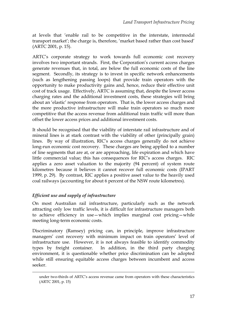at levels that 'enable rail to be competitive in the interstate, intermodal transport market'; the charge is, therefore, 'market based rather than cost based' (ARTC 2001, p. 15).

ARTC's corporate strategy to work towards full economic cost recovery involves two important strands. First, the Corporation's current access charges generate revenues that, in total, are below the full economic costs of the line segment. Secondly, its strategy is to invest in specific network enhancements (such as lengthening passing loops) that provide train operators with the opportunity to make productivity gains and, hence, reduce their effective unit cost of track usage. Effectively, ARTC is assuming that, despite the lower access charging rates and the additional investment costs, these strategies will bring about an 'elastic' response from operators. That is, the lower access charges and the more productive infrastructure will make train operators so much more competitive that the access revenue from additional train traffic will more than offset the lower access prices and additional investment costs.

It should be recognised that the viability of interstate rail infrastructure and of mineral lines is at stark contrast with the viability of other (principally grain) lines. By way of illustration, RIC's access charges generally do not achieve long-run economic cost recovery. These charges are being applied to a number of line segments that are at, or are approaching, life expiration and which have little commercial value; this has consequences for RIC's access charges. RIC applies a zero asset valuation to the majority (94 percent) of system route kilometres because it believes it cannot recover full economic costs (IPART 1999, p. 29). By contrast, RIC applies a positive asset value to the heavily used coal railways (accounting for about 6 percent of the NSW route kilometres).

#### *Efficient use and supply of infrastructure*

-

On most Australian rail infrastructure, particularly such as the network attracting only low traffic levels, it is difficult for infrastructure managers both to achieve efficiency in use—which implies marginal cost pricing—while meeting long-term economic costs.

Discriminatory (Ramsey) pricing can, in principle, improve infrastructure managers' cost recovery with minimum impact on train operators' level of infrastructure use. However, it is not always feasible to identify commodity types by freight container. In addition, in the third party charging environment, it is questionable whether price discrimination can be adopted while still ensuring equitable access charges between incumbent and access seeker.

under two-thirds of ARTC's access revenue came from operators with these characteristics (ARTC 2001, p. 15)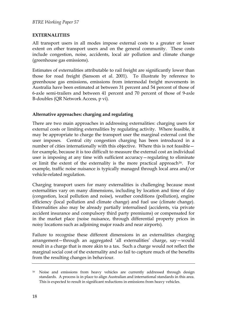#### <span id="page-30-0"></span>**EXTERNALITIES**

All transport users in all modes impose external costs to a greater or lesser extent on other transport users and on the general community. These costs include congestion, noise, accidents, local air pollution and climate change (greenhouse gas emissions).

Estimates of externalities attributable to rail freight are significantly lower than those for road freight (Sansom et al. 2001). To illustrate by reference to greenhouse gas emissions, emissions from intermodal freight movements in Australia have been estimated at between 31 percent and 54 percent of those of 6-axle semi-trailers and between 41 percent and 70 percent of those of 9-axle B-doubles (QR Network Access, p vi).

#### **Alternative approaches: charging and regulating**

There are two main approaches in addressing externalities: charging users for external costs or limiting externalities by regulating activity. Where feasible, it may be appropriate to charge the transport user the marginal external cost the user imposes. Central city congestion charging has been introduced in a number of cities internationally with this objective. Where this is not feasible for example, because it is too difficult to measure the external cost an individual user is imposing at any time with sufficient accuracy—regulating to eliminate or limit the extent of the externality is the more practical approach<sup>[16](#page-30-1)</sup>. For example, traffic noise nuisance is typically managed through local area and/or vehicle-related regulation.

Charging transport users for many externalities is challenging because most externalities vary on many dimensions, including by location and time of day (congestion, local pollution and noise), weather conditions (pollution), engine efficiency (local pollution and climate change) and fuel use (climate change). Externalities also may be already partially internalised (accidents, via private accident insurance and compulsory third party premiums) or compensated for in the market place (noise nuisance, through differential property prices in noisy locations such as adjoining major roads and near airports).

Failure to recognise these different dimensions in an externalities charging arrangement—through an aggregated 'all externalities' charge, say—would result in a charge that is more akin to a tax. Such a charge would not reflect the marginal social cost of the externality and so fail to capture much of the benefits from the resulting changes in behaviour.

<span id="page-30-1"></span><sup>&</sup>lt;sup>16</sup> Noise and emissions from heavy vehicles are currently addressed through design standards. A process is in place to align Australian and international standards in this area. This is expected to result in significant reductions in emissions from heavy vehicles.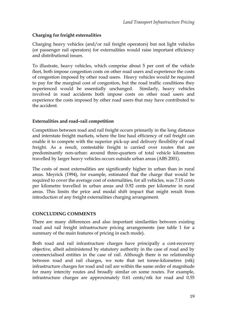#### <span id="page-31-0"></span>**Charging for freight externalities**

Charging heavy vehicles (and/or rail freight operators) but not light vehicles (or passenger rail operators) for externalities would raise important efficiency and distributional issues.

To illustrate, heavy vehicles, which comprise about 5 per cent of the vehicle fleet, both impose congestion costs on other road users and experience the costs of congestion imposed by other road users. Heavy vehicles would be required to pay for the marginal cost of congestion, but the road traffic conditions they experienced would be essentially unchanged. Similarly, heavy vehicles involved in road accidents both impose costs on other road users and experience the costs imposed by other road users that may have contributed to the accident.

#### **Externalities and road–rail competition**

Competition between road and rail freight occurs primarily in the long distance and interstate freight markets, where the line haul efficiency of rail freight can enable it to compete with the superior pick-up and delivery flexibility of road freight. As a result, contestable freight is carried over routes that are predominantly non-urban: around three-quarters of total vehicle kilometres travelled by larger heavy vehicles occurs outside urban areas (ABS 2001).

The costs of most externalities are significantly higher in urban than in rural areas. Meyrick (1994), for example, estimated that the charge that would be required to cover the average cost of externalities, for all vehicles, was 7.15 cents per kilometre travelled in urban areas and 0.92 cents per kilometre in rural areas. This limits the price and modal shift impact that might result from introduction of any freight externalities charging arrangement.

#### **CONCLUDING COMMENTS**

There are many differences and also important similarities between existing road and rail freight infrastructure pricing arrangements (see table 1 for a summary of the main features of pricing in each mode).

Both road and rail infrastructure charges have principally a cost-recovery objective, albeit administered by statutory authority in the case of road and by commercialised entities in the case of rail. Although there is no relationship between road and rail charges, we note that net tonne-kilometres (ntk) infrastructure charges for road and rail are within the same order of magnitude for many intercity routes and broadly similar on some routes. For example, infrastructure charges are approximately 0.61 cents/ntk for road and 0.55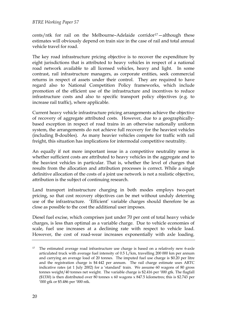#### *BTRE Working Paper 57*

cents/ntk for rail on the Melbourne-Adelaide corridor<sup>[17](#page-32-0)</sup>-although these estimates will obviously depend on train size in the case of rail and total annual vehicle travel for road.

The key road infrastructure pricing objective is to recover the expenditure by eight jurisdictions that is attributed to heavy vehicles in respect of a national road network available to all licensed vehicles, heavy and light. In some contrast, rail infrastructure managers, as corporate entities, seek commercial returns in respect of assets under their control. They are required to have regard also to National Competition Policy frameworks, which include promotion of the efficient use of the infrastructure and incentives to reduce infrastructure costs and also to specific transport policy objectives (e.g. to increase rail traffic), where applicable.

Current heavy vehicle infrastructure pricing arrangements achieve the objective of recovery of aggregate attributed costs. However, due to a geographicallybased exception in respect of road trains in an otherwise nationally uniform system, the arrangements do not achieve full recovery for the heaviest vehicles (including B-doubles). As many heavier vehicles compete for traffic with rail freight, this situation has implications for intermodal competitive neutrality.

An equally if not more important issue in a competitive neutrality sense is whether sufficient costs are attributed to heavy vehicles in the aggregate and to the heaviest vehicles in particular. That is, whether the level of charges that results from the allocation and attribution processes is correct. While a single definitive allocation of the costs of a joint use network is not a realistic objective, attribution is the subject of continuing research.

Land transport infrastructure charging in both modes employs two-part pricing, so that cost recovery objectives can be met without unduly deterring use of the infrastructure. 'Efficient' variable charges should therefore be as close as possible to the cost the additional user imposes.

Diesel fuel excise, which comprises just under 70 per cent of total heavy vehicle charges, is less than optimal as a variable charge. Due to vehicle economies of scale, fuel use increases at a declining rate with respect to vehicle load. However, the cost of road-wear increases exponentially with axle loading.

<span id="page-32-0"></span><sup>&</sup>lt;sup>17</sup> The estimated average road infrastructure use charge is based on a relatively new 6-axle articulated truck with average fuel intensity of 0.5 L/km, travelling 200 000 km per annum and carrying an average load of 20 tonnes. The imputed fuel use charge is \$0.20 per litre and the registration charge is \$4 442 per annum. The rail charge estimate uses ARTC indicative rates (at 1 July 2002) for a 'standard' train. We assume 60 wagons of 80 gross tonnes weight/40 tonnes net weight. The variable charge is \$2.416 per '000 gtk. The flagfall (\$1330) is then distributed over 80 tonnes x 60 wagons x 847.5 kilometres; this is \$2.743 per '000 gtk or \$5.486 per '000 ntk.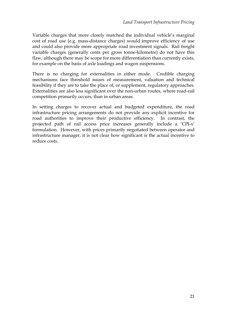Variable charges that more closely matched the individual vehicle's marginal cost of road use (e.g. mass-distance charges) would improve efficiency of use and could also provide more appropriate road investment signals. Rail freight variable charges (generally cents per gross tonne-kilometre) do not have this flaw, although there may be scope for more differentiation than currently exists, for example on the basis of axle loadings and wagon suspensions.

There is no charging for externalities in either mode. Credible charging mechanisms face threshold issues of measurement, valuation and technical feasibility if they are to take the place of, or supplement, regulatory approaches. Externalities are also less significant over the non-urban routes, where road-rail competition primarily occurs, than in urban areas.

In setting charges to recover actual and budgeted expenditure, the road infrastructure pricing arrangements do not provide any explicit incentive for road authorities to improve their productive efficiency. In contrast, the projected path of rail access price increases generally include a 'CPI-x' formulation. However, with prices primarily negotiated between operator and infrastructure manager, it is not clear how significant is the actual incentive to reduce costs.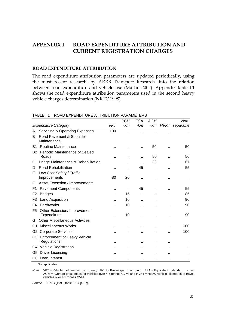#### <span id="page-35-0"></span>**APPENDIX I ROAD EXPENDITURE ATTRIBUTION AND CURRENT REGISTRATION CHARGES**

#### **ROAD EXPENDITURE ATTRIBUTION**

The road expenditure attribution parameters are updated periodically, using the most recent research, by ARRB Transport Research, into the relation between road expenditure and vehicle use (Martin 2002). Appendix table I.1 shows the road expenditure attribution parameters used in the second heavy vehicle charges determination (NRTC 1998).

|                |                                                |                      | <b>PCU</b>           | <b>ESA</b>           | <b>AGM</b> | Non-           |
|----------------|------------------------------------------------|----------------------|----------------------|----------------------|------------|----------------|
|                | <b>Expenditure Category</b>                    | <b>VKT</b>           | -km                  | -km                  | -km        | HVKT separable |
| A              | <b>Servicing &amp; Operating Expenses</b>      | 100                  |                      |                      |            |                |
| B              | Road Pavement & Shoulder<br>Maintenance        |                      |                      |                      |            |                |
| <b>B1</b>      | <b>Routine Maintenance</b>                     |                      |                      |                      | 50         | 50             |
| <b>B2</b>      | Periodic Maintenance of Sealed<br>Roads        |                      | $\ddotsc$            |                      | 50         | 50             |
| С              | Bridge Maintenance & Rehabilitation            |                      |                      |                      | 33         | 67             |
| D              | <b>Road Rehabilitation</b>                     |                      | ٠.                   | 45                   |            | 55             |
| Е              | Low Cost Safety / Traffic<br>Improvements      | 80                   | 20                   | $\ddot{\phantom{a}}$ |            |                |
| F              | Asset Extension / Improvements                 |                      |                      |                      |            |                |
| F1             | <b>Pavement Components</b>                     | $\ddot{\phantom{a}}$ | $\ddot{\phantom{a}}$ | 45                   |            | 55             |
| F <sub>2</sub> | <b>Bridges</b>                                 |                      | 15                   |                      |            | 85             |
| F3             | <b>Land Acquisition</b>                        |                      | 10                   |                      |            | 90             |
| F4             | Earthworks                                     |                      | 10                   |                      |            | 90             |
| F5             | Other Extension/ Improvement<br>Expenditure    |                      | 10                   |                      |            | 90             |
| G              | <b>Other Miscellaneous Activities</b>          |                      |                      |                      |            |                |
| G1             | <b>Miscellaneous Works</b>                     |                      |                      |                      |            | 100            |
| G2             | <b>Corporate Services</b>                      |                      |                      |                      |            | 100            |
|                | G3 Enforcement of Heavy Vehicle<br>Regulations |                      | ٠.                   |                      |            |                |
|                | G4 Vehicle Registration                        |                      |                      |                      |            |                |
|                | G5 Driver Licensing                            |                      |                      |                      |            |                |
|                | G6 Loan Interest                               |                      |                      |                      |            |                |

#### TABLE I.1 ROAD EXPENDITURE ATTRIBUTION PARAMETERS

.. Not applicable.

*Note* VKT = Vehicle kilometres of travel; PCU = Passenger car unit; ESA = Equivalent standard axles; AGM = Average gross mass for vehicles over 4.5 tonnes GVM; and HVKT = Heavy vehicle kilometres of travel, vehicles over 4.5 tonnes GVM.

*Source* NRTC (1998, table 2.13, p. 27).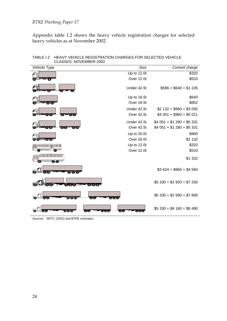#### <span id="page-36-0"></span>*BTRE Working Paper 57*

Appendix table 1.2 shows the heavy vehicle registration charges for selected heavy vehicles as at November 2002.

| Vehicle Type                                                                                  | Size                                        | Current charge                |
|-----------------------------------------------------------------------------------------------|---------------------------------------------|-------------------------------|
|                                                                                               | Up to 12.0t                                 | \$320                         |
| o.                                                                                            | Over 12.0t                                  | \$533                         |
|                                                                                               | Under 42.5t                                 | $$586 + $640 = $1226$         |
|                                                                                               | Up to 16.5t                                 | \$640                         |
| $\circ$ To)                                                                                   | Over 16.5t                                  | \$852                         |
|                                                                                               | Under 42.5t                                 | $$2 132 + $960 = $3 092$      |
| $O1$ $O1$<br>οī<br>O(10)                                                                      | Over 42.5t                                  | $$4051 + $960 = $5011$        |
|                                                                                               | Under 42.5t                                 | $$4051 + $1280 = $5331$       |
| তিতে ব<br>O <sub>1</sub><br>$\circ$ 101                                                       | Over 42.5t                                  | $$4051 + $1280 = $5331$       |
|                                                                                               | Up to 20.0t                                 | \$960                         |
| <del>™</del> "⊙⊺⊙ो<br>0101                                                                    | Over 20.0t                                  | \$2 132                       |
|                                                                                               | Up to 12.0t                                 | \$320                         |
|                                                                                               | Over 12.0t                                  | \$533                         |
| ※ 後                                                                                           |                                             | \$1 332                       |
| $\circ$ ( $\circ$ )<br>$\bullet\bullet\bullet$                                                |                                             | $$3624 + $960 = $4584$        |
| OTOTOW<br>0.010<br>രി                                                                         |                                             | $$5\,330 + $1\,920 = $7\,250$ |
| $\bullet\bullet\bullet$<br><b>OO</b> T<br>ం గం<br>$\circ$ or $\circ$                          |                                             | $$5\,330 + $2\,560 = $7\,890$ |
| $\bullet\bullet\bullet$<br>$\overline{\text{O}(\text{O})}$<br>$\circ$ $\circ$ $\circ$ $\circ$ | $\overline{\text{O}}$ $\overline{\text{O}}$ | $$5\,330 + $4\,160 = $9\,490$ |

TABLE I.2 HEAVY VEHICLE REGISTRATION CHARGES FOR SELECTED VEHICLE CLASSES, NOVEMBER 2002

*Sources* NRTC (2002) and BTRE estimates.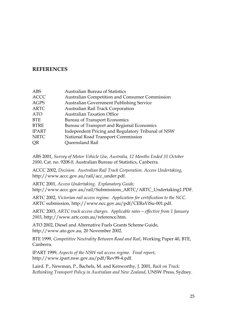#### <span id="page-37-0"></span>**REFERENCES**

| <b>ABS</b>   | <b>Australian Bureau of Statistics</b>                |
|--------------|-------------------------------------------------------|
| <b>ACCC</b>  | <b>Australian Competition and Consumer Commission</b> |
| <b>AGPS</b>  | <b>Australian Government Publishing Service</b>       |
| <b>ARTC</b>  | Australian Rail Track Corporation                     |
| <b>ATO</b>   | <b>Australian Taxation Office</b>                     |
| <b>BTE</b>   | <b>Bureau of Transport Economics</b>                  |
| <b>BTRE</b>  | Bureau of Transport and Regional Economics            |
| <b>IPART</b> | Independent Pricing and Regulatory Tribunal of NSW    |
| <b>NRTC</b>  | National Road Transport Commission                    |
| <b>OR</b>    | Queensland Rail                                       |
|              |                                                       |

ABS 2001, *Survey of Motor Vehicle Use, Australia, 12 Months Ended 31 October 2000*, Cat. no. 9208.0, Australian Bureau of Statistics, Canberra.

ACCC 2002, *Decision. Australian Rail Track Corporation. Access Undertaking*, [http://www.accc.gov.au/rail/acc\\_under.pdf](http://ww.accc.gov.au/rail/acc_under.pdf).

ARTC 2001, *Access Undertaking. Explanatory Guide,* [http://www.accc.gov.au/rail/Submissions\\_ARTC/ARTC\\_Undertaking1.PDF.](http://www.accc.gov.au/rail/Submissions_ARTC/ARTC_Undertaking1.PDF.)

ARTC 2002, *Victorian rail access regime. Application for certification to the NCC.*  ARTC submission, [http://www.ncc.gov.au/pdf/CERaViSu-001.pdf](http://www.ncc.gov.au/nationalcompet/part%20iiia/rail/VIC%20regime%20Certification/ARTC%20submission%20March%202002.pdf).

ARTC 2003, *ARTC track access charges. Applicable rates—effective from 1 January 2003*, [http://www.artc.com.au/reference.htm.](http://www.artc.com.au/reference.htm)

ATO 2002, Diesel and Alternative Fuels Grants Scheme Guide, http://www.ato.gov.au, 20 November 2002.

BTE 1999, *Competitive Neutrality Between Road and Rail*, Working Paper 40, BTE, Canberra.

IPART 1999, *Aspects of the NSW rail access regime. Final report*, <http://www.ipart.nsw.gov.au/pdf/Rev99-4.pdf>.

Laird. P., Newman, P., Bachels, M. and Kenworthy, J. 2001, *Back on Track: Rethinking Transport Policy in Australian and New Zealand*, UNSW Press, Sydney.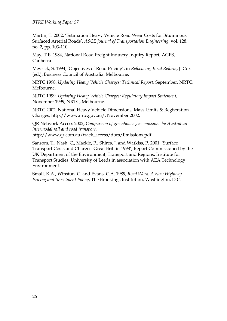#### *BTRE Working Paper 57*

Martin, T. 2002, 'Estimation Heavy Vehicle Road Wear Costs for Bituminous Surfaced Arterial Roads', *ASCE Journal of Transportation Engineering*, vol. 128, no. 2, pp. 103-110.

May, T.E. 1984, National Road Freight Industry Inquiry Report, AGPS, Canberra.

Meyrick, S. 1994, 'Objectives of Road Pricing', in *Refocusing Road Reform*, J. Cox (ed.), Business Council of Australia, Melbourne.

NRTC 1998, *Updating Heavy Vehicle Charges: Technical Report*, September, NRTC, Melbourne.

NRTC 1999, *Updating Heavy Vehicle Charges: Regulatory Impact Statement*, November 1999, NRTC, Melbourne.

NRTC 2002, National Heavy Vehicle Dimensions, Mass Limits & Registration Charges, http://www.nrtc.gov.au/, November 2002.

QR Network Access 2002, *Comparison of greenhouse gas emissions by Australian intermodal rail and road transport*, [http://www.qr.com.au/track\\_access/docs/Emissions.pdf](http://www.qr.com.au/track_access/docs/Emissions.pdf)

Sansom, T., Nash, C., Mackie, P., Shires, J. and Watkiss, P. 2001, 'Surface Transport Costs and Charges: Great Britain 1998', Report Commissioned by the UK Department of the Environment, Transport and Regions, Institute for Transport Studies, University of Leeds in association with AEA Technology Environment.

Small, K.A., Winston, C. and Evans, C.A. 1989, *Road Work: A New Highway Pricing and Investment Policy*, The Brookings Institution, Washington, D.C.